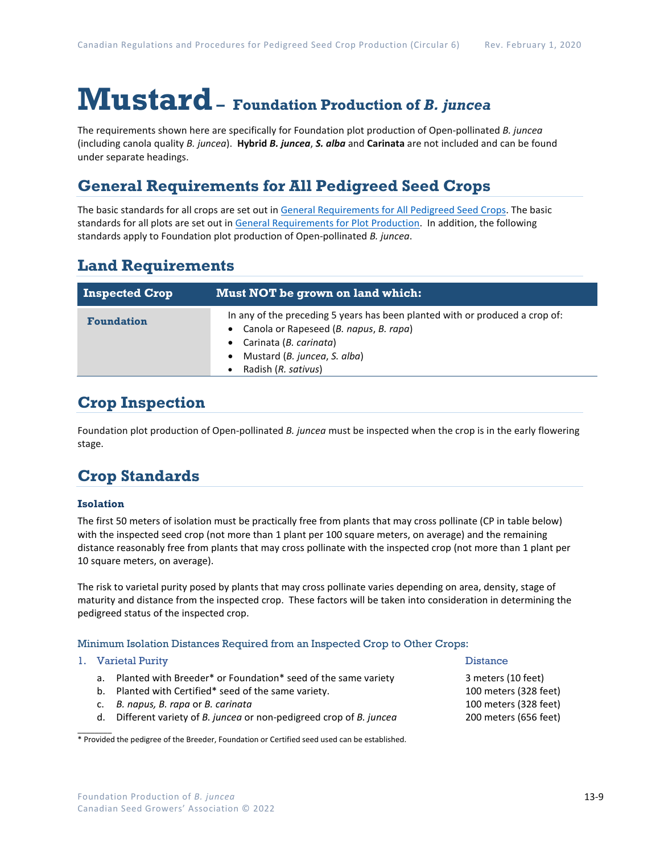# **Mustard– Foundation Production of** *B. juncea*

The requirements shown here are specifically for Foundation plot production of Open-pollinated *B. juncea* (including canola quality *B. juncea*). **Hybrid** *B. juncea*, *S. alba* and **Carinata** are not included and can be found under separate headings.

## **General Requirements for All Pedigreed Seed Crops**

The basic standards for all crops are set out i[n General Requirements for All Pedigreed Seed](https://seedgrowers.ca/wp-content/uploads/2020/01/GENERAL-REQUIREMENTS-ALL-CROPS_EN.pdf) Crops. The basic standards for all plots are set out i[n General Requirements for Plot Production.](https://seedgrowers.ca/wp-content/uploads/2020/01/GENERAL-REQUIREMENTS-PLOTS_EN.pdf) In addition, the following standards apply to Foundation plot production of Open-pollinated *B. juncea*.

### **Land Requirements**

| <b>Inspected Crop</b> | Must NOT be grown on land which:                                                                                                                                                                        |  |  |  |  |
|-----------------------|---------------------------------------------------------------------------------------------------------------------------------------------------------------------------------------------------------|--|--|--|--|
| <b>Foundation</b>     | In any of the preceding 5 years has been planted with or produced a crop of:<br>Canola or Rapeseed (B. napus, B. rapa)<br>Carinata (B. carinata)<br>Mustard (B. juncea, S. alba)<br>Radish (R. sativus) |  |  |  |  |

### **Crop Inspection**

Foundation plot production of Open-pollinated *B. juncea* must be inspected when the crop is in the early flowering stage.

## **Crop Standards**

### **Isolation**

The first 50 meters of isolation must be practically free from plants that may cross pollinate (CP in table below) with the inspected seed crop (not more than 1 plant per 100 square meters, on average) and the remaining distance reasonably free from plants that may cross pollinate with the inspected crop (not more than 1 plant per 10 square meters, on average).

The risk to varietal purity posed by plants that may cross pollinate varies depending on area, density, stage of maturity and distance from the inspected crop. These factors will be taken into consideration in determining the pedigreed status of the inspected crop.

#### Minimum Isolation Distances Required from an Inspected Crop to Other Crops:

#### 1. Varietal Purity 2012 12:20 and 2012 12:20 and 2012 12:20 and 2012 12:20 and 2012 12:20 and 2012 12:20 and 201

 $\overline{\phantom{a}}$ 

- a. Planted with Breeder\* or Foundation\* seed of the same variety 3 meters (10 feet)
- b. Planted with Certified\* seed of the same variety. 100 meters (328 feet)
- c. *B. napus, B. rapa* or *B. carinata* 100 meters (328 feet)
- d. Different variety of *B. juncea* or non-pedigreed crop of *B. juncea* 200 meters (656 feet)

\* Provided the pedigree of the Breeder, Foundation or Certified seed used can be established.